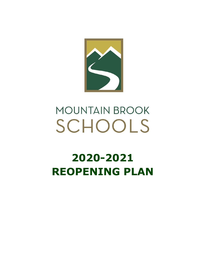

# **MOUNTAIN BROOK** SCHOOLS

# **2020-2021 REOPENING PLAN**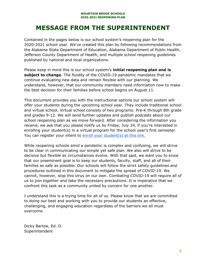# **MESSAGE FROM THE SUPERINTENDENT**

Contained in the pages below is our school system's reopening plan for the 2020-2021 school year. We've created this plan by following recommendations from the Alabama State Department of Education, Alabama Department of Public Health, Jefferson County Department of Health, and multiple school reopening guidelines published by national and local organizations.

Please keep in mind this is our school system's **initial reopening plan and is subject to change**. The fluidity of the COVID-19 pandemic mandates that we continue evaluating new data and remain flexible with our planning. We understand, however, that our community members need information now to make the best decision for their families before school begins on August 11.

This document provides you with the instructional options our school system will offer your students during the upcoming school year. They include traditional school and virtual school. Virtual school consists of two programs: Pre-K through 8th grade and grades 9-12. We will send further updates and publish podcasts about our school reopening plan as we move forward. After considering the information you receive, we ask that you please notify us by Friday, July 24, if you're interested in enrolling your student(s) in a virtual program for the school year's first semester. You can register your intent to enroll your [student\(s\)](https://forms.gle/S5ae8rRDaBxytufXA) at this link.

While reopening schools amid a pandemic is complex and confusing, we will strive to be clear in communicating our simple yet safe plan. We also will strive to be decisive but flexible as circumstances evolve. With that said, we want you to know that our preeminent goal is to keep our students, faculty, staff, and all of their families as safe as possible. Our schools will follow the strict safety guidelines and procedures outlined in this document to mitigate the spread of COVID-19. We cannot, however, stop this virus on our own. Combating COVID-19 will require all of us to join together and take the necessary precautions. It is imperative that we confront this task as a community united by concern for one another.

I understand this is a trying time for all of us. Please know that we are committed to doing our best and working with you to provide our students an effective, challenging, and engaging education regardless of the barriers we all must overcome.

Dicky Barlow, Ed. D. Superintendent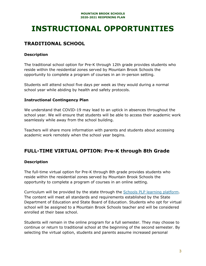# **INSTRUCTIONAL OPPORTUNITIES**

# **TRADITIONAL SCHOOL**

### **Description**

The traditional school option for Pre-K through 12th grade provides students who reside within the residential zones served by Mountain Brook Schools the opportunity to complete a program of courses in an in-person setting.

Students will attend school five days per week as they would during a normal school year while abiding by health and safety protocols.

### **Instructional Contingency Plan**

We understand that COVID-19 may lead to an uptick in absences throughout the school year. We will ensure that students will be able to access their academic work seamlessly while away from the school building.

Teachers will share more information with parents and students about accessing academic work remotely when the school year begins.

# **FULL-TIME VIRTUAL OPTION: Pre-K through 8th Grade**

## **Description**

The full-time virtual option for Pre-K through 8th grade provides students who reside within the residential zones served by Mountain Brook Schools the opportunity to complete a program of courses in an online setting.

Curriculum will be provided by the state through the Schools PLP learning [platform](https://schoolsplp.com/course-listing/?state=alabama). The content will meet all standards and requirements established by the State Department of Education and State Board of Education. Students who opt for virtual school will be assigned to a Mountain Brook Schools teacher and will be considered enrolled at their base school.

Students will remain in the online program for a full semester. They may choose to continue or return to traditional school at the beginning of the second semester. By selecting the virtual option, students and parents assume increased personal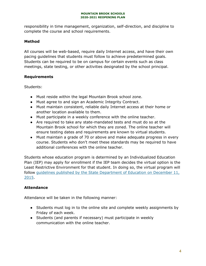responsibility in time management, organization, self-direction, and discipline to complete the course and school requirements.

# **Method**

All courses will be web-based, require daily Internet access, and have their own pacing guidelines that students must follow to achieve predetermined goals. Students can be required to be on campus for certain events such as class meetings, state testing, or other activities designated by the school principal.

## **Requirements**

Students:

- Must reside within the legal Mountain Brook school zone.
- Must agree to and sign an Academic Integrity Contract.
- Must maintain consistent, reliable daily Internet access at their home or another location available to them.
- Must participate in a weekly conference with the online teacher.
- Are required to take any state-mandated tests and must do so at the Mountain Brook school for which they are zoned. The online teacher will ensure testing dates and requirements are known to virtual students.
- Must maintain a grade of 70 or above and make adequate progress in every course. Students who don't meet these standards may be required to have additional conferences with the online teacher.

Students whose education program is determined by an Individualized Education Plan (IEP) may apply for enrollment if the IEP team decides the virtual option is the Least Restrictive Environment for that student. In doing so, the virtual program will follow guidelines published by the State [Department](https://www.alsde.edu/ofc/cs/Virtual%20Schools/FY16-2023.pdf) of Education on December 11, [2015.](https://www.alsde.edu/ofc/cs/Virtual%20Schools/FY16-2023.pdf)

## **Attendance**

Attendance will be taken in the following manner:

- Students must log in to the online site and complete weekly assignments by Friday of each week.
- Students (and parents if necessary) must participate in weekly communication with the online teacher.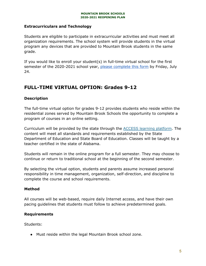#### **Extracurriculars and Technology**

Students are eligible to participate in extracurricular activities and must meet all organization requirements. The school system will provide students in the virtual program any devices that are provided to Mountain Brook students in the same grade.

If you would like to enroll your student(s) in full-time virtual school for the first semester of the 2020-2021 school year, please [complete](https://forms.gle/S5ae8rRDaBxytufXA) this form by Friday, July 24.

# **FULL-TIME VIRTUAL OPTION: Grades 9-12**

### **Description**

The full-time virtual option for grades 9-12 provides students who reside within the residential zones served by Mountain Brook Schools the opportunity to complete a program of courses in an online setting.

Curriculum will be provided by the state through the ACCESS learning [platform.](https://accessdl.state.al.us/sites/default/files/documents/ACCESS%20Course%20Catalog%202020-2021_5_14_2020.pdf) The content will meet all standards and requirements established by the State Department of Education and State Board of Education. Classes will be taught by a teacher certified in the state of Alabama.

Students will remain in the online program for a full semester. They may choose to continue or return to traditional school at the beginning of the second semester.

By selecting the virtual option, students and parents assume increased personal responsibility in time management, organization, self-direction, and discipline to complete the course and school requirements.

#### **Method**

All courses will be web-based, require daily Internet access, and have their own pacing guidelines that students must follow to achieve predetermined goals.

#### **Requirements**

Students:

● Must reside within the legal Mountain Brook school zone.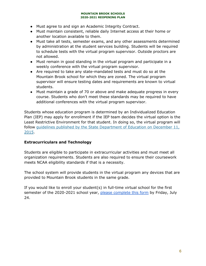- Must agree to and sign an Academic Integrity Contract.
- Must maintain consistent, reliable daily Internet access at their home or another location available to them.
- Must take all tests, semester exams, and any other assessments determined by administration at the student services building. Students will be required to schedule tests with the virtual program supervisor. Outside proctors are not allowed.
- Must remain in good standing in the virtual program and participate in a weekly conference with the virtual program supervisor.
- Are required to take any state-mandated tests and must do so at the Mountain Brook school for which they are zoned. The virtual program supervisor will ensure testing dates and requirements are known to virtual students.
- Must maintain a grade of 70 or above and make adequate progress in every course. Students who don't meet these standards may be required to have additional conferences with the virtual program supervisor.

Students whose education program is determined by an Individualized Education Plan (IEP) may apply for enrollment if the IEP team decides the virtual option is the Least Restrictive Environment for that student. In doing so, the virtual program will follow guidelines published by the State [Department](https://www.alsde.edu/ofc/cs/Virtual%20Schools/FY16-2023.pdf) of Education on December 11, [2015.](https://www.alsde.edu/ofc/cs/Virtual%20Schools/FY16-2023.pdf)

### **Extracurriculars and Technology**

Students are eligible to participate in extracurricular activities and must meet all organization requirements. Students are also required to ensure their coursework meets NCAA eligibility standards if that is a necessity.

The school system will provide students in the virtual program any devices that are provided to Mountain Brook students in the same grade.

If you would like to enroll your student(s) in full-time virtual school for the first semester of the 2020-2021 school year, please [complete](https://forms.gle/S5ae8rRDaBxytufXA) this form by Friday, July 24.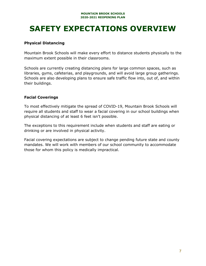# **SAFETY EXPECTATIONS OVERVIEW**

### **Physical Distancing**

Mountain Brook Schools will make every effort to distance students physically to the maximum extent possible in their classrooms.

Schools are currently creating distancing plans for large common spaces, such as libraries, gyms, cafeterias, and playgrounds, and will avoid large group gatherings. Schools are also developing plans to ensure safe traffic flow into, out of, and within their buildings.

### **Facial Coverings**

To most effectively mitigate the spread of COVID-19, Mountain Brook Schools will require all students and staff to wear a facial covering in our school buildings when physical distancing of at least 6 feet isn't possible.

The exceptions to this requirement include when students and staff are eating or drinking or are involved in physical activity.

Facial covering expectations are subject to change pending future state and county mandates. We will work with members of our school community to accommodate those for whom this policy is medically impractical.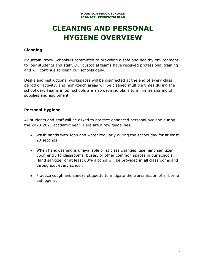# **CLEANING AND PERSONAL HYGIENE OVERVIEW**

#### **Cleaning**

Mountain Brook Schools is committed to providing a safe and healthy environment for our students and staff. Our custodial teams have received professional training and will continue to clean our schools daily.

Desks and instructional workspaces will be disinfected at the end of every class period or activity, and high-touch areas will be cleaned multiple times during the school day. Teams in our schools are also devising plans to minimize sharing of supplies and equipment.

#### **Personal Hygiene**

All students and staff will be asked to practice enhanced personal hygiene during the 2020-2021 academic year. Here are a few guidelines:

- Wash hands with soap and water regularly during the school day for at least 20 seconds.
- When handwashing is unavailable or at class changes, use hand sanitizer upon entry to classrooms, buses, or other common spaces in our schools. Hand sanitizer of at least 60% alcohol will be provided in all classrooms and throughout every school.
- Practice cough and sneeze etiquette to mitigate the transmission of airborne pathogens.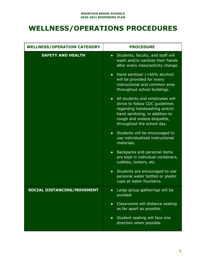# **WELLNESS/OPERATIONS PROCEDURES**

| <b>WELLNESS/OPERATION CATEGORY</b> | <b>PROCEDURE</b>                                                                                                                                                                                                |
|------------------------------------|-----------------------------------------------------------------------------------------------------------------------------------------------------------------------------------------------------------------|
| <b>SAFETY AND HEALTH</b>           | Students, faculty, and staff will<br>$\bullet$<br>wash and/or sanitize their hands<br>after every class/activity change.                                                                                        |
|                                    | Hand sanitizer (>60% alcohol)<br>$\bullet$<br>will be provided for every<br>instructional and common area<br>throughout school buildings.                                                                       |
|                                    | All students and employees will<br>$\bullet$<br>strive to follow CDC guidelines<br>regarding handwashing and/or<br>hand sanitizing, in addition to<br>cough and sneeze etiquette,<br>throughout the school day. |
|                                    | Students will be encouraged to<br>$\bullet$<br>use individualized instructional<br>materials.                                                                                                                   |
|                                    | Backpacks and personal items<br>$\bullet$<br>are kept in individual containers,<br>cubbies, lockers, etc.                                                                                                       |
|                                    | Students are encouraged to use<br>$\bullet$<br>personal water bottles or plastic<br>cups at water fountains.                                                                                                    |
| <b>SOCIAL DISTANCING/MOVEMENT</b>  | Large group gatherings will be<br>$\bullet$<br>avoided.                                                                                                                                                         |
|                                    | Classrooms will distance seating<br>$\bullet$<br>as far apart as possible.                                                                                                                                      |
|                                    | Student seating will face one<br>$\bullet$<br>direction when possible.                                                                                                                                          |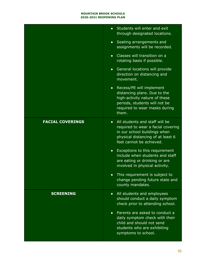|                         | Students will enter and exit<br>$\bullet$<br>through designated locations.                                                                                                         |
|-------------------------|------------------------------------------------------------------------------------------------------------------------------------------------------------------------------------|
|                         | • Seating arrangements and<br>assignments will be recorded.                                                                                                                        |
|                         | Classes will transition on a<br>$\bullet$<br>rotating basis if possible.                                                                                                           |
|                         | General locations will provide<br>$\bullet$<br>direction on distancing and<br>movement.                                                                                            |
|                         | • Recess/PE will implement<br>distancing plans. Due to the<br>high-activity nature of these<br>periods, students will not be<br>required to wear masks during<br>them.             |
| <b>FACIAL COVERINGS</b> | All students and staff will be<br>$\bullet$<br>required to wear a facial covering<br>in our school buildings when<br>physical distancing of at least 6<br>feet cannot be achieved. |
|                         | • Exceptions to this requirement<br>include when students and staff<br>are eating or drinking or are<br>involved in physical activity.                                             |
|                         | This requirement is subject to<br>$\bullet$<br>change pending future state and<br>county mandates.                                                                                 |
| <b>SCREENING</b>        | • All students and employees<br>should conduct a daily symptom<br>check prior to attending school.                                                                                 |
|                         | Parents are asked to conduct a<br>$\bullet$<br>daily symptom check with their<br>child and should not send<br>students who are exhibiting<br>symptoms to school.                   |
|                         |                                                                                                                                                                                    |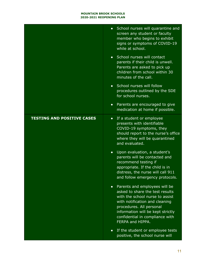|                                   | • School nurses will quarantine and<br>screen any student or faculty<br>member who begins to exhibit<br>signs or symptoms of COVID-19<br>while at school.                                                                                                     |
|-----------------------------------|---------------------------------------------------------------------------------------------------------------------------------------------------------------------------------------------------------------------------------------------------------------|
|                                   | • School nurses will contact<br>parents if their child is unwell.<br>Parents are asked to pick up<br>children from school within 30<br>minutes of the call.                                                                                                   |
|                                   | • School nurses will follow<br>procedures outlined by the SDE<br>for school nurses.                                                                                                                                                                           |
|                                   | Parents are encouraged to give<br>$\bullet$<br>medication at home if possible.                                                                                                                                                                                |
| <b>TESTING AND POSITIVE CASES</b> | If a student or employee<br>$\bullet$<br>presents with identifiable<br>COVID-19 symptoms, they<br>should report to the nurse's office<br>where they will be quarantined<br>and evaluated.                                                                     |
|                                   | Upon evaluation, a student's<br>$\bullet$<br>parents will be contacted and<br>recommend testing if<br>appropriate. If the child is in<br>distress, the nurse will call 911<br>and follow emergency protocols.                                                 |
|                                   | Parents and employees will be<br>asked to share the test results<br>with the school nurse to assist<br>with notification and cleaning<br>procedures. All personal<br>information will be kept strictly<br>confidential in compliance with<br>FERPA and HIPPA. |
|                                   | If the student or employee tests<br>$\bullet$<br>positive, the school nurse will                                                                                                                                                                              |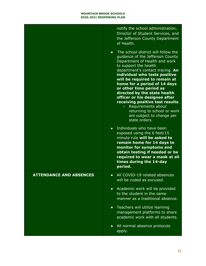| times during the 14-day |                                | notify the school administration,<br>Director of Student Services, and<br>the Jefferson County Department<br>of Health.<br>The school district will follow the<br>$\bullet$<br>quidance of the Jefferson County<br>Department of Health and work<br>to support the health<br>department's contact tracing. An<br>individual who tests positive<br>will be required to remain at<br>home for a period of 14 days<br>or other time period as<br>directed by the state health<br>officer or his designee after<br>receiving positive test results.<br>Requirements about<br>$\circ$<br>returning to school or work<br>are subject to change per<br>state orders.<br>Individuals who have been<br>$\bullet$<br>exposed using the 6 feet/15<br>minute rule will be asked to<br>remain home for 14 days to<br>monitor for symptoms and<br>obtain testing if needed or be<br>required to wear a mask at all |
|-------------------------|--------------------------------|------------------------------------------------------------------------------------------------------------------------------------------------------------------------------------------------------------------------------------------------------------------------------------------------------------------------------------------------------------------------------------------------------------------------------------------------------------------------------------------------------------------------------------------------------------------------------------------------------------------------------------------------------------------------------------------------------------------------------------------------------------------------------------------------------------------------------------------------------------------------------------------------------|
|                         | <b>ATTENDANCE AND ABSENCES</b> | All COVID-19 related absences<br>$\bullet$<br>will be coded as excused.                                                                                                                                                                                                                                                                                                                                                                                                                                                                                                                                                                                                                                                                                                                                                                                                                              |
|                         |                                | Academic work will be provided<br>$\bullet$<br>to the student in the same<br>manner as a traditional absence.                                                                                                                                                                                                                                                                                                                                                                                                                                                                                                                                                                                                                                                                                                                                                                                        |
|                         |                                | • Teachers will utilize learning<br>management platforms to share<br>academic work with all students.                                                                                                                                                                                                                                                                                                                                                                                                                                                                                                                                                                                                                                                                                                                                                                                                |
|                         |                                | All normal absence protocols<br>$\bullet$<br>apply.                                                                                                                                                                                                                                                                                                                                                                                                                                                                                                                                                                                                                                                                                                                                                                                                                                                  |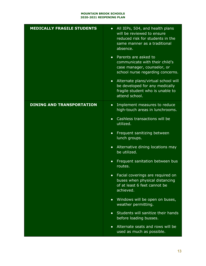| <b>MEDICALLY FRAGILE STUDENTS</b> | All IEPs, 504, and health plans<br>$\bullet$<br>will be reviewed to ensure<br>reduced risk for students in the<br>same manner as a traditional<br>absence. |
|-----------------------------------|------------------------------------------------------------------------------------------------------------------------------------------------------------|
|                                   | Parents are asked to<br>$\bullet$<br>communicate with their child's<br>case manager, counselor, or<br>school nurse regarding concerns.                     |
|                                   | Alternate plans/virtual school will<br>$\bullet$<br>be developed for any medically<br>fragile student who is unable to<br>attend school.                   |
| <b>DINING AND TRANSPORTATION</b>  | Implement measures to reduce<br>$\bullet$<br>high-touch areas in lunchrooms.                                                                               |
|                                   | Cashless transactions will be<br>$\bullet$<br>utilized.                                                                                                    |
|                                   | Frequent sanitizing between<br>$\bullet$<br>lunch groups.                                                                                                  |
|                                   | Alternative dining locations may<br>$\bullet$<br>be utilized.                                                                                              |
|                                   | Frequent sanitation between bus<br>$\bullet$<br>routes.                                                                                                    |
|                                   | Facial coverings are required on<br>$\bullet$<br>buses when physical distancing<br>of at least 6 feet cannot be<br>achieved.                               |
|                                   | Windows will be open on buses,<br>$\bullet$<br>weather permitting.                                                                                         |
|                                   | Students will sanitize their hands<br>$\bullet$<br>before loading busses.                                                                                  |
|                                   | Alternate seats and rows will be<br>$\bullet$<br>used as much as possible.                                                                                 |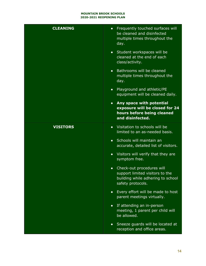| <b>CLEANING</b> | Frequently touched surfaces will<br>$\bullet$<br>be cleaned and disinfected<br>multiple times throughout the<br>day.                |
|-----------------|-------------------------------------------------------------------------------------------------------------------------------------|
|                 | • Student workspaces will be<br>cleaned at the end of each<br>class/activity.                                                       |
|                 | • Bathrooms will be cleaned<br>multiple times throughout the<br>day.                                                                |
|                 | • Playground and athletic/PE<br>equipment will be cleaned daily.                                                                    |
|                 | Any space with potential<br>$\bullet$<br>exposure will be closed for 24<br>hours before being cleaned<br>and disinfected.           |
| <b>VISITORS</b> | • Visitation to schools will be<br>limited to an as-needed basis.                                                                   |
|                 | Schools will maintain an<br>$\bullet$<br>accurate, detailed list of visitors.                                                       |
|                 | • Visitors will verify that they are<br>symptom free.                                                                               |
|                 | Check-out procedures will<br>$\bullet$<br>support limited visitors to the<br>building while adhering to school<br>safety protocols. |
|                 | Every effort will be made to host<br>$\bullet$<br>parent meetings virtually.                                                        |
|                 | If attending an in-person<br>$\bullet$<br>meeting, 1 parent per child will<br>be allowed.                                           |
|                 | Sneeze guards will be located at<br>$\bullet$<br>reception and office areas.                                                        |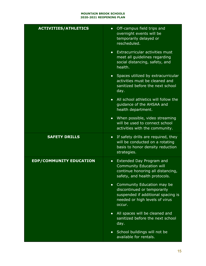| <b>ACTIVITIES/ATHLETICS</b>    | • Off-campus field trips and<br>overnight events will be<br>temporarily delayed or<br>rescheduled.                                                       |
|--------------------------------|----------------------------------------------------------------------------------------------------------------------------------------------------------|
|                                | • Extracurricular activities must<br>meet all guidelines regarding<br>social distancing, safety, and<br>health.                                          |
|                                | • Spaces utilized by extracurricular<br>activities must be cleaned and<br>sanitized before the next school<br>day.                                       |
|                                | • All school athletics will follow the<br>guidance of the AHSAA and<br>health department.                                                                |
|                                | • When possible, video streaming<br>will be used to connect school<br>activities with the community.                                                     |
|                                |                                                                                                                                                          |
| <b>SAFETY DRILLS</b>           | • If safety drills are required, they<br>will be conducted on a rotating<br>basis to honor density reduction<br>strategies.                              |
| <b>EDP/COMMUNITY EDUCATION</b> | Extended Day Program and<br>$\bullet$<br><b>Community Education will</b><br>continue honoring all distancing,<br>safety, and health protocols.           |
|                                | Community Education may be<br>$\bullet$<br>discontinued or temporarily<br>suspended if additional spacing is<br>needed or high levels of virus<br>occur. |
|                                | • All spaces will be cleaned and<br>sanitized before the next school<br>day.                                                                             |